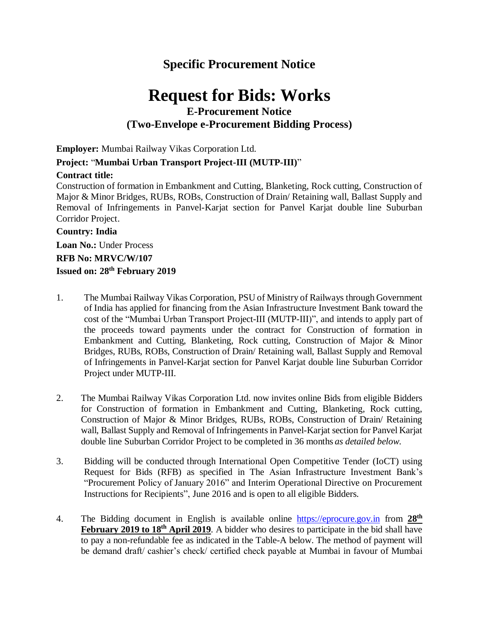## **Specific Procurement Notice**

# **Request for Bids: Works**

### **E-Procurement Notice (Two-Envelope e-Procurement Bidding Process)**

**Employer:** Mumbai Railway Vikas Corporation Ltd.

#### **Project:** "**Mumbai Urban Transport Project-III (MUTP-III)**"

#### **Contract title:**

Construction of formation in Embankment and Cutting, Blanketing, Rock cutting, Construction of Major & Minor Bridges, RUBs, ROBs, Construction of Drain/ Retaining wall, Ballast Supply and Removal of Infringements in Panvel-Karjat section for Panvel Karjat double line Suburban Corridor Project.

#### **Country: India**

**Loan No.:** Under Process **RFB No: MRVC/W/107 Issued on: 28th February 2019**

- 1. The Mumbai Railway Vikas Corporation, PSU of Ministry of Railways through Government of India has applied for financing from the Asian Infrastructure Investment Bank toward the cost of the "Mumbai Urban Transport Project-III (MUTP-III)", and intends to apply part of the proceeds toward payments under the contract for Construction of formation in Embankment and Cutting, Blanketing, Rock cutting, Construction of Major & Minor Bridges, RUBs, ROBs, Construction of Drain/ Retaining wall, Ballast Supply and Removal of Infringements in Panvel-Karjat section for Panvel Karjat double line Suburban Corridor Project under MUTP-III.
- 2. The Mumbai Railway Vikas Corporation Ltd. now invites online Bids from eligible Bidders for Construction of formation in Embankment and Cutting, Blanketing, Rock cutting, Construction of Major & Minor Bridges, RUBs, ROBs, Construction of Drain/ Retaining wall, Ballast Supply and Removal of Infringements in Panvel-Karjat section for Panvel Karjat double line Suburban Corridor Project to be completed in 36 months *as detailed below*.
- 3. Bidding will be conducted through International Open Competitive Tender (IoCT) using Request for Bids (RFB) as specified in The Asian Infrastructure Investment Bank's ["Procurement](http://www.worldbank.org/html/opr/procure/guidelin.html) Policy of January 2016" and Interim Operational Directive on Procurement Instructions for Recipients", June 2016 and is open to all eligible Bidders.
- 4. The Bidding document in English is available online [https://eprocure.gov.in](https://eprocure.gov.in/) from **28th February 2019 to 18th April 2019**. A bidder who desires to participate in the bid shall have to pay a non-refundable fee as indicated in the Table-A below. The method of payment will be demand draft/ cashier's check/ certified check payable at Mumbai in favour of Mumbai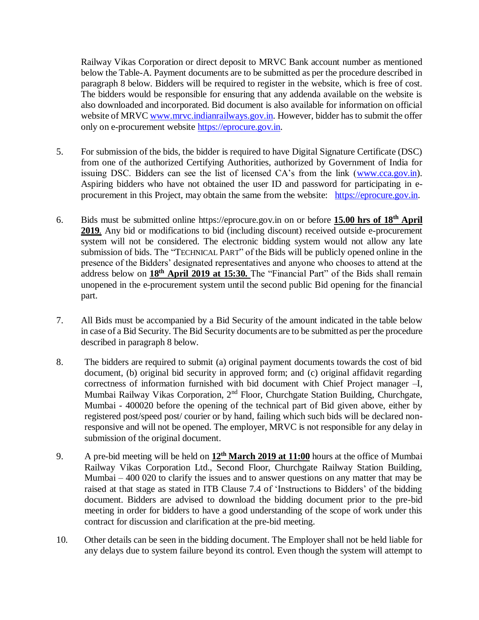Railway Vikas Corporation or direct deposit to MRVC Bank account number as mentioned below the Table-A. Payment documents are to be submitted as per the procedure described in paragraph 8 below. Bidders will be required to register in the website, which is free of cost. The bidders would be responsible for ensuring that any addenda available on the website is also downloaded and incorporated. Bid document is also available for information on official website of MRV[C www.mrvc.indianrailways.gov.in.](http://www.mrvc.indianrailways.gov.in/) However, bidder has to submit the offer only on e-procurement website [https://eprocure.gov.in.](https://eprocure.gov.in/)

- 5. For submission of the bids, the bidder is required to have Digital Signature Certificate (DSC) from one of the authorized Certifying Authorities, authorized by Government of India for issuing DSC. Bidders can see the list of licensed CA's from the link [\(www.cca.gov.in\)](http://www.cca.gov.in/). Aspiring bidders who have not obtained the user ID and password for participating in eprocurement in this Project, may obtain the same from the website: [https://eprocure.gov.in.](https://eprocure.gov.in/)
- 6. Bids must be submitted online https://eprocure.gov.in on or before **15.00 hrs of 18th April 2019***.* Any bid or modifications to bid (including discount) received outside e-procurement system will not be considered. The electronic bidding system would not allow any late submission of bids. The "TECHNICAL PART" of the Bids will be publicly opened online in the presence of the Bidders' designated representatives and anyone who chooses to attend at the address below on **18th April 2019 at 15:30.** The "Financial Part" of the Bids shall remain unopened in the e-procurement system until the second public Bid opening for the financial part.
- 7. All Bids must be accompanied by a Bid Security of the amount indicated in the table below in case of a Bid Security. The Bid Security documents are to be submitted as per the procedure described in paragraph 8 below.
- 8. The bidders are required to submit (a) original payment documents towards the cost of bid document, (b) original bid security in approved form; and (c) original affidavit regarding correctness of information furnished with bid document with Chief Project manager –I, Mumbai Railway Vikas Corporation, 2<sup>nd</sup> Floor, Churchgate Station Building, Churchgate, Mumbai - 400020 before the opening of the technical part of Bid given above, either by registered post/speed post/ courier or by hand, failing which such bids will be declared nonresponsive and will not be opened. The employer, MRVC is not responsible for any delay in submission of the original document.
- 9. A pre-bid meeting will be held on **12th March 2019 at 11:00** hours at the office of Mumbai Railway Vikas Corporation Ltd., Second Floor, Churchgate Railway Station Building, Mumbai – 400 020 to clarify the issues and to answer questions on any matter that may be raised at that stage as stated in ITB Clause 7.4 of 'Instructions to Bidders' of the bidding document. Bidders are advised to download the bidding document prior to the pre-bid meeting in order for bidders to have a good understanding of the scope of work under this contract for discussion and clarification at the pre-bid meeting.
- 10. Other details can be seen in the bidding document. The Employer shall not be held liable for any delays due to system failure beyond its control. Even though the system will attempt to